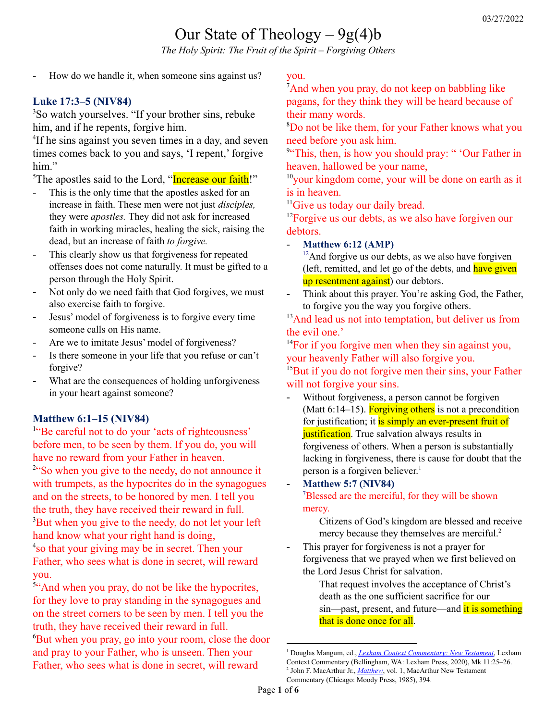# Our State of Theology  $-9g(4)b$

*The Holy Spirit: The Fruit of the Spirit – Forgiving Others*

How do we handle it, when someone sins against us?

## **Luke 17:3–5 (NIV84)**

<sup>3</sup>So watch yourselves. "If your brother sins, rebuke him, and if he repents, forgive him.

<sup>4</sup>If he sins against you seven times in a day, and seven times comes back to you and says, 'I repent,' forgive him."

<sup>5</sup>The apostles said to the Lord, "Increase our faith!"

- This is the only time that the apostles asked for an increase in faith. These men were not just *disciples,* they were *apostles.* They did not ask for increased faith in working miracles, healing the sick, raising the dead, but an increase of faith *to forgive.*
- This clearly show us that forgiveness for repeated offenses does not come naturally. It must be gifted to a person through the Holy Spirit.
- Not only do we need faith that God forgives, we must also exercise faith to forgive.
- Jesus' model of forgiveness is to forgive every time someone calls on His name.
- Are we to imitate Jesus' model of forgiveness?
- Is there someone in your life that you refuse or can't forgive?
- What are the consequences of holding unforgiveness in your heart against someone?

## **Matthew 6:1–15 (NIV84)**

<sup>1"</sup>Be careful not to do your 'acts of righteousness' before men, to be seen by them. If you do, you will have no reward from your Father in heaven.

<sup>2"</sup>So when you give to the needy, do not announce it with trumpets, as the hypocrites do in the synagogues and on the streets, to be honored by men. I tell you the truth, they have received their reward in full. <sup>3</sup>But when you give to the needy, do not let your left hand know what your right hand is doing, 4 so that your giving may be in secret. Then your Father, who sees what is done in secret, will reward you.

<sup>5"</sup>And when you pray, do not be like the hypocrites, for they love to pray standing in the synagogues and on the street corners to be seen by men. I tell you the truth, they have received their reward in full. <sup>6</sup>But when you pray, go into your room, close the door and pray to your Father, who is unseen. Then your Father, who sees what is done in secret, will reward

you.

<sup>7</sup>And when you pray, do not keep on babbling like pagans, for they think they will be heard because of their many words.

<sup>8</sup>Do not be like them, for your Father knows what you need before you ask him.

<sup>9"</sup>This, then, is how you should pray: " 'Our Father in heaven, hallowed be your name,

 $10$ your kingdom come, your will be done on earth as it is in heaven.

<sup>11</sup>Give us today our daily bread.

<sup>12</sup>Forgive us our debts, as we also have forgiven our debtors.

- **Matthew 6:12 (AMP)**

 $12$ And forgive us our debts, as we also have forgiven (left, remitted, and let go of the debts, and have given up resentment against) our debtors.

- Think about this prayer. You're asking God, the Father, to forgive you the way you forgive others.

<sup>13</sup>And lead us not into temptation, but deliver us from the evil one.'

 $14$ For if you forgive men when they sin against you, your heavenly Father will also forgive you.

<sup>15</sup>But if you do not forgive men their sins, your Father will not forgive your sins.

- Without forgiveness, a person cannot be forgiven (Matt  $6:14-15$ ). Forgiving others is not a precondition for justification; it is simply an ever-present fruit of **justification**. True salvation always results in forgiveness of others. When a person is substantially lacking in forgiveness, there is cause for doubt that the person is a forgiven believer. 1

#### - **Matthew 5:7 (NIV84)** <sup>7</sup>Blessed are the merciful, for they will be shown mercy.

Citizens of God's kingdom are blessed and receive mercy because they themselves are merciful. 2

This prayer for forgiveness is not a prayer for forgiveness that we prayed when we first believed on the Lord Jesus Christ for salvation.

> That request involves the acceptance of Christ's death as the one sufficient sacrifice for our sin—past, present, and future—and it is something that is done once for all.

<sup>1</sup> Douglas Mangum, ed., *Lexham Context [Commentary:](https://ref.ly/logosres/cntxtcommnt?ref=BibleNRSV.Mk11.25-26&off=216&ctx=+that+faith+brings.+~Without+forgiveness%2c) New Testament*, Lexham

Context Commentary (Bellingham, WA: Lexham Press, 2020), Mk 11:25–26.

<sup>2</sup> John F. MacArthur Jr., *[Matthew](https://ref.ly/logosres/mattmntc?ref=Bible.Mt6.12&off=8632&ctx=n+life%2c+to+forgive.+~Citizens+of+God%E2%80%99s+ki)*, vol. 1, MacArthur New Testament Commentary (Chicago: Moody Press, 1985), 394.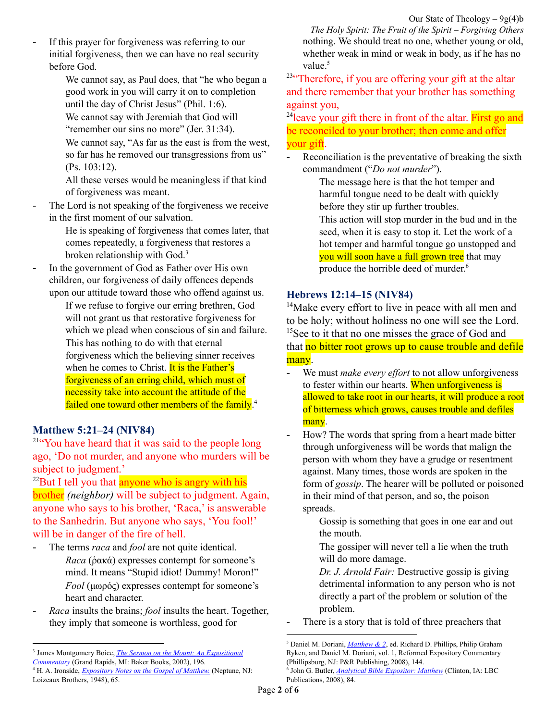If this prayer for forgiveness was referring to our initial forgiveness, then we can have no real security before God.

> We cannot say, as Paul does, that "he who began a good work in you will carry it on to completion until the day of Christ Jesus" (Phil. 1:6).

We cannot say with Jeremiah that God will "remember our sins no more" (Jer. 31:34).

We cannot say, "As far as the east is from the west, so far has he removed our transgressions from us" (Ps. 103:12).

All these verses would be meaningless if that kind of forgiveness was meant.

The Lord is not speaking of the forgiveness we receive in the first moment of our salvation.

> He is speaking of forgiveness that comes later, that comes repeatedly, a forgiveness that restores a broken relationship with God.<sup>3</sup>

In the government of God as Father over His own children, our forgiveness of daily offences depends upon our attitude toward those who offend against us.

> If we refuse to forgive our erring brethren, God will not grant us that restorative forgiveness for which we plead when conscious of sin and failure. This has nothing to do with that eternal forgiveness which the believing sinner receives when he comes to Christ. It is the Father's forgiveness of an erring child, which must of necessity take into account the attitude of the failed one toward other members of the family.<sup>4</sup>

#### **Matthew 5:21–24 (NIV84)**

<sup>21"</sup>You have heard that it was said to the people long ago, 'Do not murder, and anyone who murders will be subject to judgment.'

 $22$ But I tell you that anyone who is angry with his brother *(neighbor)* will be subject to judgment. Again, anyone who says to his brother, 'Raca,' is answerable to the Sanhedrin. But anyone who says, 'You fool!' will be in danger of the fire of hell.

- The terms *raca* and *fool* are not quite identical. *Raca* (ῥακά) expresses contempt for someone's mind. It means "Stupid idiot! Dummy! Moron!" *Fool* (μωρός) expresses contempt for someone's heart and character.
- *Raca* insults the brains; *fool* insults the heart. Together, they imply that someone is worthless, good for

*The Holy Spirit: The Fruit of the Spirit – Forgiving Others* nothing. We should treat no one, whether young or old, whether weak in mind or weak in body, as if he has no value. 5

<sup>23"</sup>Therefore, if you are offering your gift at the altar and there remember that your brother has something against you,

<sup>24</sup>leave your gift there in front of the altar. First go and be reconciled to your brother; then come and offer your gift.

Reconciliation is the preventative of breaking the sixth commandment ("*Do not murder*").

> The message here is that the hot temper and harmful tongue need to be dealt with quickly before they stir up further troubles.

This action will stop murder in the bud and in the seed, when it is easy to stop it. Let the work of a hot temper and harmful tongue go unstopped and you will soon have a full grown tree that may produce the horrible deed of murder. 6

#### **Hebrews 12:14–15 (NIV84)**

<sup>14</sup>Make every effort to live in peace with all men and to be holy; without holiness no one will see the Lord. <sup>15</sup>See to it that no one misses the grace of God and that no bitter root grows up to cause trouble and defile many.

- We must *make every effort* to not allow unforgiveness to fester within our hearts. When unforgiveness is allowed to take root in our hearts, it will produce a root of bitterness which grows, causes trouble and defiles many.
- How? The words that spring from a heart made bitter through unforgiveness will be words that malign the person with whom they have a grudge or resentment against. Many times, those words are spoken in the form of *gossip*. The hearer will be polluted or poisoned in their mind of that person, and so, the poison spreads.

Gossip is something that goes in one ear and out the mouth.

The gossiper will never tell a lie when the truth will do more damage.

*Dr. J. Arnold Fair:* Destructive gossip is giving detrimental information to any person who is not directly a part of the problem or solution of the problem.

There is a story that is told of three preachers that

<sup>3</sup> James Montgomery Boice, *The Sermon on the Mount: An [Expositional](https://ref.ly/logosres/boicecm61srm?ref=Bible.Mt6.12&off=1977&ctx=in+the+first+place.%0a~The+request+given+he) [Commentary](https://ref.ly/logosres/boicecm61srm?ref=Bible.Mt6.12&off=1977&ctx=in+the+first+place.%0a~The+request+given+he)* (Grand Rapids, MI: Baker Books, 2002), 196.

<sup>4</sup> H. A. Ironside, *[Expository](https://ref.ly/logosres/ironside61mt?ref=Bible.Mt6&off=10477&ctx=itualistic+service.%0a~In+the+government+of) Notes on the Gospel of Matthew.* (Neptune, NJ: Loizeaux Brothers, 1948), 65.

<sup>5</sup> Daniel M. Doriani, *[Matthew](https://ref.ly/logosres/rec61mt?ref=Bible.Mt5.17-26&off=13550&ctx=hell%E2%80%9D+(Matt.+5%3a22).+~The+terms+%E2%80%9Craca%E2%80%9D+and) & 2*, ed. Richard D. Phillips, Philip Graham Ryken, and Daniel M. Doriani, vol. 1, Reformed Expository Commentary (Phillipsburg, NJ: P&R Publishing, 2008), 144.

<sup>6</sup> John G. Butler, *Analytical Bible [Expositor:](https://ref.ly/logosres/butlercomm61mt?ref=Bible.Mt5.21-26&off=2626&ctx=+(Matthew+5%3a23%E2%80%9326).+~Reconciliation+is+th) Matthew* (Clinton, IA: LBC Publications, 2008), 84.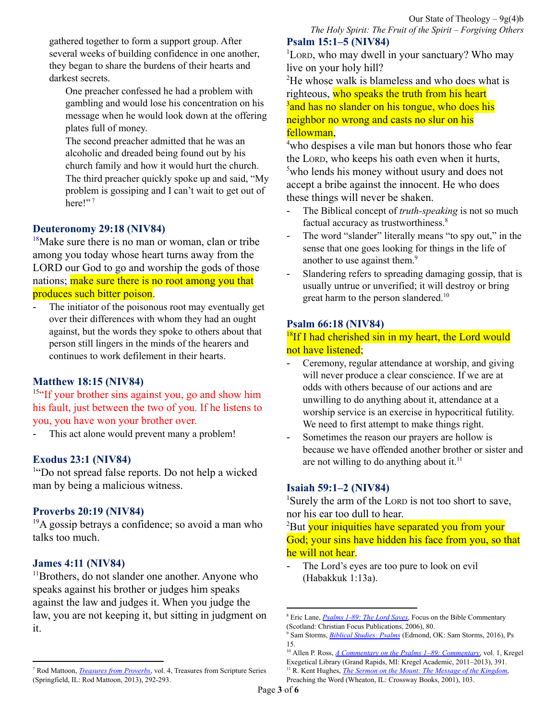gathered together to form a support group. After several weeks of building confidence in one another, they began to share the burdens of their hearts and darkest secrets.

One preacher confessed he had a problem with gambling and would lose his concentration on his message when he would look down at the offering plates full of money.

The second preacher admitted that he was an alcoholic and dreaded being found out by his church family and how it would hurt the church.

The third preacher quickly spoke up and said, "My problem is gossiping and I can't wait to get out of here!"<sup>7</sup>

## **Deuteronomy 29:18 (NIV84)**

 $18$ Make sure there is no man or woman, clan or tribe among you today whose heart turns away from the LORD our God to go and worship the gods of those nations; make sure there is no root among you that produces such bitter poison.

The initiator of the poisonous root may eventually get over their differences with whom they had an ought against, but the words they spoke to others about that person still lingers in the minds of the hearers and continues to work defilement in their hearts.

## **Matthew 18:15 (NIV84)**

<sup>15"</sup>If your brother sins against you, go and show him his fault, just between the two of you. If he listens to you, you have won your brother over.

- This act alone would prevent many a problem!

## **Exodus 23:1 (NIV84)**

<sup>1"</sup>Do not spread false reports. Do not help a wicked man by being a malicious witness.

## **Proverbs 20:19 (NIV84)**

 $19A$  gossip betrays a confidence; so avoid a man who talks too much.

## **James 4:11 (NIV84)**

<sup>11</sup>Brothers, do not slander one another. Anyone who speaks against his brother or judges him speaks against the law and judges it. When you judge the law, you are not keeping it, but sitting in judgment on it.

#### **Psalm 15:1–5 (NIV84)** <sup>1</sup>LORD, who may dwell in your sanctuary? Who may live on your holy hill?

<sup>2</sup>He whose walk is blameless and who does what is righteous, who speaks the truth from his heart <sup>3</sup> and has no slander on his tongue, who does his neighbor no wrong and casts no slur on his fellowman,

<sup>4</sup>who despises a vile man but honors those who fear the LORD, who keeps his oath even when it hurts, <sup>5</sup>who lends his money without usury and does not accept a bribe against the innocent. He who does these things will never be shaken.

- The Biblical concept of *truth-speaking* is not so much factual accuracy as trustworthiness.<sup>8</sup>
- The word "slander" literally means "to spy out," in the sense that one goes looking for things in the life of another to use against them.<sup>9</sup>
- Slandering refers to spreading damaging gossip, that is usually untrue or unverified; it will destroy or bring great harm to the person slandered.<sup>10</sup>

## **Psalm 66:18 (NIV84)**

<sup>18</sup>If I had cherished sin in my heart, the Lord would not have listened;

- Ceremony, regular attendance at worship, and giving will never produce a clear conscience. If we are at odds with others because of our actions and are unwilling to do anything about it, attendance at a worship service is an exercise in hypocritical futility. We need to first attempt to make things right.
- Sometimes the reason our prayers are hollow is because we have offended another brother or sister and are not willing to do anything about it. $11$

## **Isaiah 59:1–2 (NIV84)**

<sup>1</sup>Surely the arm of the LORD is not too short to save, nor his ear too dull to hear.

<sup>2</sup>But your iniquities have separated you from your God; your sins have hidden his face from you, so that he will not hear.

The Lord's eyes are too pure to look on evil (Habakkuk 1:13a).

<sup>7</sup> Rod Mattoon, *[Treasures](https://ref.ly/logosres/treasures20prvol4?ref=Page.p+292&off=1052&ctx=ways+rubbing+it+in.%0a~Gossip+is+something+) from Proverbs*, vol. 4, Treasures from Scripture Series (Springfield, IL: Rod Mattoon, 2013), 292-293.

<sup>8</sup> Eric Lane, *[Psalms](https://ref.ly/logosres/fobc19ps1?ref=Bible.Ps15.2c-3&off=36&ctx=trained+in+language%0a~The+Biblical+concept) 1-89: The Lord Saves*, Focus on the Bible Commentary (Scotland: Christian Focus Publications, 2006), 80.

<sup>9</sup> Sam Storms, *Biblical [Studies:](https://ref.ly/logosres/biblicalstudies19ps?ref=Bible.Ps15&off=2399&ctx=+his+tongue+(15%3a3).+~The+word+%E2%80%9Cslander%E2%80%9D+l) Psalms* (Edmond, OK: Sam Storms, 2016), Ps 15.

<sup>11</sup> R. Kent Hughes, *The Sermon on the Mount: The Message of the [Kingdom](https://ref.ly/logosres/prwdsrmt?ref=Bible.Mt5.23&off=1744&ctx=p+for+that+evil.%EF%BB%BF3%EF%BB%BF%0a~Ceremony%2c+regular+at)*, <sup>10</sup> Allen P. Ross, *A Commentary on the Psalms 1–89: [Commentary](https://ref.ly/logosres/commpsalmscomm?ref=Bible.Ps15.3a&off=276&ctx=ll+around+is+worse.+~Slandering+refers+to)*, vol. 1, Kregel Exegetical Library (Grand Rapids, MI: Kregel Academic, 2011–2013), 391.

Preaching the Word (Wheaton, IL: Crossway Books, 2001), 103.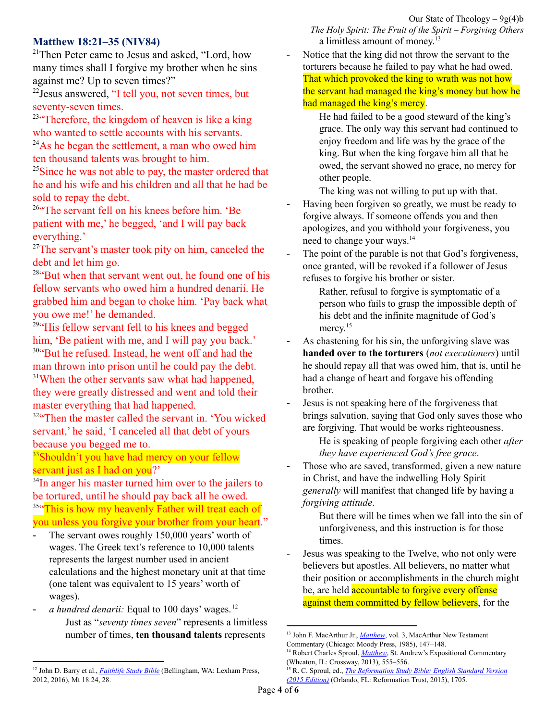#### Our State of Theology  $-9g(4)b$

**Matthew 18:21–35 (NIV84)**

<sup>21</sup>Then Peter came to Jesus and asked, "Lord, how many times shall I forgive my brother when he sins against me? Up to seven times?"

<sup>22</sup> Jesus answered, "I tell you, not seven times, but seventy-seven times.

 $23$ "Therefore, the kingdom of heaven is like a king who wanted to settle accounts with his servants.  $^{24}$ As he began the settlement, a man who owed him ten thousand talents was brought to him.

<sup>25</sup>Since he was not able to pay, the master ordered that he and his wife and his children and all that he had be sold to repay the debt.

<sup>26"</sup>The servant fell on his knees before him. 'Be patient with me,' he begged, 'and I will pay back everything.'

 $27$ The servant's master took pity on him, canceled the debt and let him go.

<sup>28"</sup>But when that servant went out, he found one of his fellow servants who owed him a hundred denarii. He grabbed him and began to choke him. 'Pay back what you owe me!' he demanded.

 $29$ "His fellow servant fell to his knees and begged him, 'Be patient with me, and I will pay you back.' <sup>30"</sup>But he refused. Instead, he went off and had the man thrown into prison until he could pay the debt. <sup>31</sup>When the other servants saw what had happened, they were greatly distressed and went and told their master everything that had happened.

<sup>32"</sup>Then the master called the servant in. 'You wicked servant,' he said, 'I canceled all that debt of yours because you begged me to.

<sup>33</sup>Shouldn't you have had mercy on your fellow servant just as I had on you?'

<sup>34</sup>In anger his master turned him over to the jailers to be tortured, until he should pay back all he owed. <sup>35"</sup>This is how my heavenly Father will treat each of you unless you forgive your brother from your heart."

- The servant owes roughly 150,000 years' worth of wages. The Greek text's reference to 10,000 talents represents the largest number used in ancient calculations and the highest monetary unit at that time (one talent was equivalent to 15 years' worth of wages).
- *a hundred denarii:* Equal to 100 days' wages. 12 Just as "*seventy times seven*" represents a limitless number of times, **ten thousand talents** represents

*The Holy Spirit: The Fruit of the Spirit – Forgiving Others* a limitless amount of money.<sup>13</sup>

Notice that the king did not throw the servant to the torturers because he failed to pay what he had owed. That which provoked the king to wrath was not how the servant had managed the king's money but how he had managed the king's mercy.

He had failed to be a good steward of the king's grace. The only way this servant had continued to enjoy freedom and life was by the grace of the king. But when the king forgave him all that he owed, the servant showed no grace, no mercy for other people.

The king was not willing to put up with that.

- Having been forgiven so greatly, we must be ready to forgive always. If someone offends you and then apologizes, and you withhold your forgiveness, you need to change your ways. 14
- The point of the parable is not that God's forgiveness, once granted, will be revoked if a follower of Jesus refuses to forgive his brother or sister.

Rather, refusal to forgive is symptomatic of a person who fails to grasp the impossible depth of his debt and the infinite magnitude of God's mercy.<sup>15</sup>

- As chastening for his sin, the unforgiving slave was **handed over to the torturers** (*not executioners*) until he should repay all that was owed him, that is, until he had a change of heart and forgave his offending brother.
- Jesus is not speaking here of the forgiveness that brings salvation, saying that God only saves those who are forgiving. That would be works righteousness.

He is speaking of people forgiving each other *after they have experienced God's free grace*.

Those who are saved, transformed, given a new nature in Christ, and have the indwelling Holy Spirit *generally* will manifest that changed life by having a *forgiving attitude*.

But there will be times when we fall into the sin of unforgiveness, and this instruction is for those times.

Jesus was speaking to the Twelve, who not only were believers but apostles. All believers, no matter what their position or accomplishments in the church might be, are held **accountable to forgive every offense** against them committed by fellow believers, for the

<sup>12</sup> John D. Barry et al., *[Faithlife](https://ref.ly/logosres/fsb?ref=Bible.Mt18.28&off=7&ctx=surd+amount.%0a18%3a28++~+Equal+to+100+days%E2%80%99+) Study Bible* (Bellingham, WA: Lexham Press, 2012, 2016), Mt 18:24, 28.

<sup>&</sup>lt;sup>13</sup> John F. MacArthur Jr., *[Matthew](https://ref.ly/logosres/mattmntc?ref=Bible.Mt18.23-35&off=5404&ctx=+or+to+be+forgiven.%0a~Just+as+%E2%80%9C%EF%BB%BFseventy+ti)*, vol. 3, MacArthur New Testament Commentary (Chicago: Moody Press, 1985), 147–148.

<sup>&</sup>lt;sup>14</sup> Robert Charles Sproul, *[Matthew](https://ref.ly/logosres/sproulmatthew?ref=Bible.Mt18.31-34&off=1140&ctx=einstated+his+debt.%0a~Notice+that+the+king)*, St. Andrew's Expositional Commentary (Wheaton, IL: Crossway, 2013), 555–556.

<sup>15</sup> R. C. Sproul, ed., *The [Reformation](https://ref.ly/logosres/rfrmtnststnvrsn?ref=BibleESV.Mt18.35&off=29&ctx=you+do+not+forgive.+~The+point+of+the+par) Study Bible: English Standard Version (2015 [Edition\)](https://ref.ly/logosres/rfrmtnststnvrsn?ref=BibleESV.Mt18.35&off=29&ctx=you+do+not+forgive.+~The+point+of+the+par)* (Orlando, FL: Reformation Trust, 2015), 1705.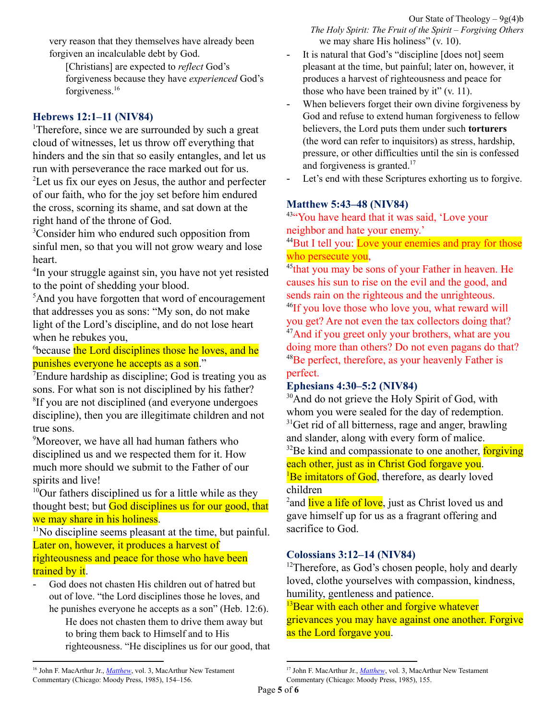very reason that they themselves have already been forgiven an incalculable debt by God.

[Christians] are expected to *reflect* God's forgiveness because they have *experienced* God's forgiveness.<sup>16</sup>

# **Hebrews 12:1–11 (NIV84)**

<sup>1</sup>Therefore, since we are surrounded by such a great cloud of witnesses, let us throw off everything that hinders and the sin that so easily entangles, and let us run with perseverance the race marked out for us. <sup>2</sup>Let us fix our eyes on Jesus, the author and perfecter of our faith, who for the joy set before him endured the cross, scorning its shame, and sat down at the right hand of the throne of God.

<sup>3</sup>Consider him who endured such opposition from sinful men, so that you will not grow weary and lose heart.

4 In your struggle against sin, you have not yet resisted to the point of shedding your blood.

<sup>5</sup>And you have forgotten that word of encouragement that addresses you as sons: "My son, do not make light of the Lord's discipline, and do not lose heart when he rebukes you,

<sup>6</sup>because the Lord disciplines those he loves, and he punishes everyone he accepts as a son."

 $7$ Endure hardship as discipline; God is treating you as sons. For what son is not disciplined by his father? <sup>8</sup>If you are not disciplined (and everyone undergoes discipline), then you are illegitimate children and not true sons.

<sup>9</sup>Moreover, we have all had human fathers who disciplined us and we respected them for it. How much more should we submit to the Father of our spirits and live!

<sup>10</sup>Our fathers disciplined us for a little while as they thought best; but God disciplines us for our good, that we may share in his holiness.

 $11$ No discipline seems pleasant at the time, but painful. Later on, however, it produces a harvest of righteousness and peace for those who have been trained by it.

God does not chasten His children out of hatred but out of love. "the Lord disciplines those he loves, and he punishes everyone he accepts as a son" (Heb. 12:6).

He does not chasten them to drive them away but to bring them back to Himself and to His righteousness. "He disciplines us for our good, that - It is natural that God's "discipline [does not] seem pleasant at the time, but painful; later on, however, it produces a harvest of righteousness and peace for those who have been trained by it" (v. 11).

- When believers forget their own divine forgiveness by God and refuse to extend human forgiveness to fellow believers, the Lord puts them under such **torturers** (the word can refer to inquisitors) as stress, hardship, pressure, or other difficulties until the sin is confessed and forgiveness is granted. 17
- Let's end with these Scriptures exhorting us to forgive.

# **Matthew 5:43–48 (NIV84)**

<sup>43</sup>"You have heard that it was said, 'Love your neighbor and hate your enemy.'

<sup>44</sup>But I tell you: Love your enemies and pray for those who persecute you,

<sup>45</sup> that you may be sons of your Father in heaven. He causes his sun to rise on the evil and the good, and sends rain on the righteous and the unrighteous.

<sup>46</sup>If you love those who love you, what reward will you get? Are not even the tax collectors doing that? <sup>47</sup>And if you greet only your brothers, what are you doing more than others? Do not even pagans do that? <sup>48</sup>Be perfect, therefore, as your heavenly Father is perfect.

# **Ephesians 4:30–5:2 (NIV84)**

<sup>30</sup>And do not grieve the Holy Spirit of God, with whom you were sealed for the day of redemption.  $31$ Get rid of all bitterness, rage and anger, brawling and slander, along with every form of malice.

 $32$ Be kind and compassionate to one another, forgiving each other, just as in Christ God forgave you.  $\frac{1}{2}$ Be imitators of God, therefore, as dearly loved

children

<sup>2</sup> and live a life of love, just as Christ loved us and gave himself up for us as a fragrant offering and sacrifice to God.

# **Colossians 3:12–14 (NIV84)**

 $12$ Therefore, as God's chosen people, holy and dearly loved, clothe yourselves with compassion, kindness, humility, gentleness and patience.

 $13$ Bear with each other and forgive whatever grievances you may have against one another. Forgive as the Lord forgave you.

<sup>&</sup>lt;sup>16</sup> John F. MacArthur Jr., *[Matthew](https://ref.ly/logosres/mattmntc?ref=Bible.Mt18.23-35&off=30311&ctx=+brother+in+Christ.%0a~Jesus+is+not+speakin)*, vol. 3, MacArthur New Testament Commentary (Chicago: Moody Press, 1985), 154–156.

<sup>&</sup>lt;sup>17</sup> John F. MacArthur Jr., *[Matthew](https://ref.ly/logosres/mattmntc?ref=Bible.Mt18.23-35&off=28897&ctx=rother+any+offense.%0a~God+does+not+chasten)*, vol. 3, MacArthur New Testament Commentary (Chicago: Moody Press, 1985), 155.